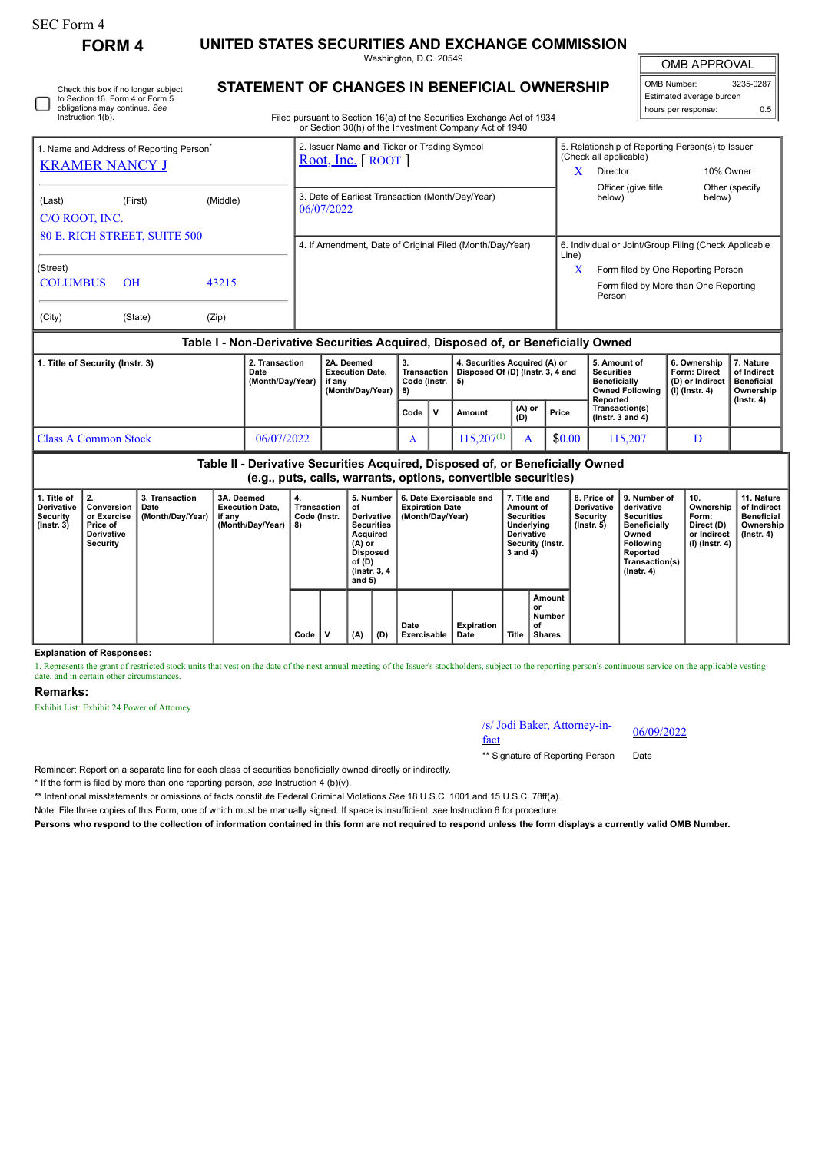# SEC Form 4

**FORM 4 UNITED STATES SECURITIES AND EXCHANGE COMMISSION** Washington, D.C. 20549

OMB APPROVAL

 $\mathbb{I}$ 

|                     | OMB Number:<br>3235-0287 |  |  |  |  |  |  |  |
|---------------------|--------------------------|--|--|--|--|--|--|--|
|                     | Estimated average burden |  |  |  |  |  |  |  |
| hours per response: | ሰ 5                      |  |  |  |  |  |  |  |
|                     |                          |  |  |  |  |  |  |  |

| Filed pursuant to Section 16(a) of the Securitie<br>or Section 30(h) of the Investment Com |
|--------------------------------------------------------------------------------------------|
| 2. Issuer Name and Ticker or Trading S<br>Root, Inc. $[$ ROOT $]$                          |
|                                                                                            |

## **STATEMENT OF CHANGES IN BENEFICIAL OWNERSHIP**

Filed pursuant to Section 16(a) of the Securities Exchange Act of 1934 or Section 30(h) of the Investment Company Act of 1940

| 1. Name and Address of Reporting Person <sup>®</sup><br><b>KRAMER NANCY J</b> |                 |       |  | 2. Issuer Name and Ticker or Trading Symbol<br>Root, Inc. $[$ ROOT $]$ |    |                                                                                  | 5. Relationship of Reporting Person(s) to Issuer<br>(Check all applicable)<br>x<br>Director<br>10% Owner |                                                                                       |              |                 |  |  |
|-------------------------------------------------------------------------------|-----------------|-------|--|------------------------------------------------------------------------|----|----------------------------------------------------------------------------------|----------------------------------------------------------------------------------------------------------|---------------------------------------------------------------------------------------|--------------|-----------------|--|--|
| (Middle)<br>(First)<br>(Last)<br>C/O ROOT, INC.                               |                 |       |  | 3. Date of Earliest Transaction (Month/Day/Year)<br>06/07/2022         |    |                                                                                  |                                                                                                          | Officer (give title<br>below)                                                         | below)       | Other (specify) |  |  |
| <b>80 E. RICH STREET, SUITE 500</b>                                           |                 |       |  | 4. If Amendment, Date of Original Filed (Month/Day/Year)               |    |                                                                                  | 6. Individual or Joint/Group Filing (Check Applicable<br>Line)                                           |                                                                                       |              |                 |  |  |
| (Street)<br><b>COLUMBUS</b>                                                   | $\overline{OH}$ | 43215 |  |                                                                        |    |                                                                                  | X                                                                                                        | Form filed by One Reporting Person<br>Form filed by More than One Reporting<br>Person |              |                 |  |  |
| (City)                                                                        | (State)         | (Zip) |  |                                                                        |    |                                                                                  |                                                                                                          |                                                                                       |              |                 |  |  |
|                                                                               |                 |       |  |                                                                        |    | Table I - Non-Derivative Securities Acquired, Disposed of, or Beneficially Owned |                                                                                                          |                                                                                       |              |                 |  |  |
| 1. Title of Security (Instr. 3)<br>2. Transaction                             |                 |       |  | 2A. Deemed                                                             | З. | 4. Securities Acquired (A) or                                                    |                                                                                                          | 5. Amount of                                                                          | 6. Ownership | 7. Nature       |  |  |

| 1. The of Security (Instr. 3) | <b>4. Iransacuon</b><br>Date<br>(Month/Day/Year) | ZA. Deemed<br><b>Execution Date,</b><br>if anv<br>(Month/Dav/Year) | a.<br>Code (Instr. $\vert$ 5) |  | 4. Securities Acquired (A) or<br>Transaction   Disposed Of (D) (Instr. 3, 4 and |               |        | . Amount or<br><b>Securities</b><br><b>Beneficially</b><br>Owned Following   (I) (Instr. 4)<br>Reported | o. Ownersnip<br><b>Form: Direct</b><br>(D) or Indirect | 7. nature<br>of Indirect<br><b>Beneficial</b><br>Ownership |
|-------------------------------|--------------------------------------------------|--------------------------------------------------------------------|-------------------------------|--|---------------------------------------------------------------------------------|---------------|--------|---------------------------------------------------------------------------------------------------------|--------------------------------------------------------|------------------------------------------------------------|
|                               |                                                  |                                                                    | Code                          |  | Amount                                                                          | (A) or<br>(D) | Price  | Transaction(s)<br>( $lnstr.$ 3 and 4)                                                                   |                                                        | $($ lnstr. 4 $)$                                           |
| Class A Common Stock          | 06/07/2022                                       |                                                                    | A                             |  | $115.207^{(1)}$                                                                 |               | \$0.00 | 15.207                                                                                                  |                                                        |                                                            |

|                                                           | Table II - Derivative Securities Acquired, Disposed of, or Beneficially Owned<br>(e.g., puts, calls, warrants, options, convertible securities) |                                            |                                                                    |                                         |  |                                                                                                                                           |     |                                                                       |                           |                                                                                                                   |                                                      |                                                                  |                                                                                                                                                |                                                                          |                                                                           |
|-----------------------------------------------------------|-------------------------------------------------------------------------------------------------------------------------------------------------|--------------------------------------------|--------------------------------------------------------------------|-----------------------------------------|--|-------------------------------------------------------------------------------------------------------------------------------------------|-----|-----------------------------------------------------------------------|---------------------------|-------------------------------------------------------------------------------------------------------------------|------------------------------------------------------|------------------------------------------------------------------|------------------------------------------------------------------------------------------------------------------------------------------------|--------------------------------------------------------------------------|---------------------------------------------------------------------------|
| 1. Title of<br>Derivative<br>Security<br>$($ lnstr. 3 $)$ | 2.<br>Conversion<br>or Exercise<br>Price of<br>Derivative<br>Security                                                                           | 3. Transaction<br>Date<br>(Month/Day/Year) | 3A. Deemed<br><b>Execution Date.</b><br>if any<br>(Month/Day/Year) | 4.<br>Transaction<br>Code (Instr.<br>8) |  | 5. Number<br>οf<br><b>Derivative</b><br><b>Securities</b><br>Acquired<br>(A) or<br><b>Disposed</b><br>of (D)<br>(Instr. 3, 4)<br>and $5)$ |     | 6. Date Exercisable and<br><b>Expiration Date</b><br>(Month/Day/Year) |                           | 7. Title and<br>Amount of<br><b>Securities</b><br>Underlying<br><b>Derivative</b><br>Security (Instr.<br>3 and 4) |                                                      | 8. Price of<br><b>Derivative</b><br>Security<br>$($ lnstr. 5 $)$ | 9. Number of<br>derivative<br><b>Securities</b><br><b>Beneficially</b><br>Owned<br>Followina<br>Reported<br>Transaction(s)<br>$($ Instr. 4 $)$ | 10.<br>Ownership<br>Form:<br>Direct (D)<br>or Indirect<br>(I) (Instr. 4) | 11. Nature<br>of Indirect<br><b>Beneficial</b><br>Ownership<br>(Instr. 4) |
|                                                           |                                                                                                                                                 |                                            |                                                                    | Code                                    |  | (A)                                                                                                                                       | (D) | Date<br><b>Exercisable</b>                                            | <b>Expiration</b><br>Date | Title                                                                                                             | <b>Amount</b><br>or<br>Number<br>οf<br><b>Shares</b> |                                                                  |                                                                                                                                                |                                                                          |                                                                           |

#### **Explanation of Responses:**

1. Represents the grant of restricted stock units that vest on the date of the next annual meeting of the Issuer's stockholders, subject to the reporting person's continuous service on the applicable vesting date, and in certain other circumstances.

### **Remarks:**

Exhibit List: Exhibit 24 Power of Attorney

/s/ Jodi Baker, Attorney-in-<br>fact

\*\* Signature of Reporting Person Date

Reminder: Report on a separate line for each class of securities beneficially owned directly or indirectly.

\* If the form is filed by more than one reporting person, *see* Instruction 4 (b)(v).

\*\* Intentional misstatements or omissions of facts constitute Federal Criminal Violations *See* 18 U.S.C. 1001 and 15 U.S.C. 78ff(a).

Note: File three copies of this Form, one of which must be manually signed. If space is insufficient, *see* Instruction 6 for procedure.

**Persons who respond to the collection of information contained in this form are not required to respond unless the form displays a currently valid OMB Number.**

Check this box if no longer subject